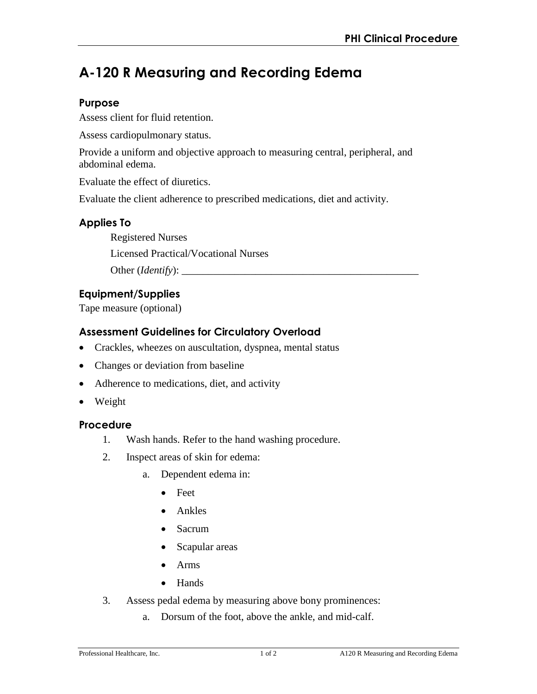# **A-120 R Measuring and Recording Edema**

### **Purpose**

Assess client for fluid retention.

Assess cardiopulmonary status.

Provide a uniform and objective approach to measuring central, peripheral, and abdominal edema.

Evaluate the effect of diuretics.

Evaluate the client adherence to prescribed medications, diet and activity.

## **Applies To**

Registered Nurses

Licensed Practical/Vocational Nurses

Other (*Identify*):

# **Equipment/Supplies**

Tape measure (optional)

# **Assessment Guidelines for Circulatory Overload**

- Crackles, wheezes on auscultation, dyspnea, mental status
- Changes or deviation from baseline
- Adherence to medications, diet, and activity
- Weight

#### **Procedure**

- 1. Wash hands. Refer to the hand washing procedure.
- 2. Inspect areas of skin for edema:
	- a. Dependent edema in:
		- Feet
		- Ankles
		- Sacrum
		- Scapular areas
		- Arms
		- Hands
- 3. Assess pedal edema by measuring above bony prominences:
	- a. Dorsum of the foot, above the ankle, and mid-calf.